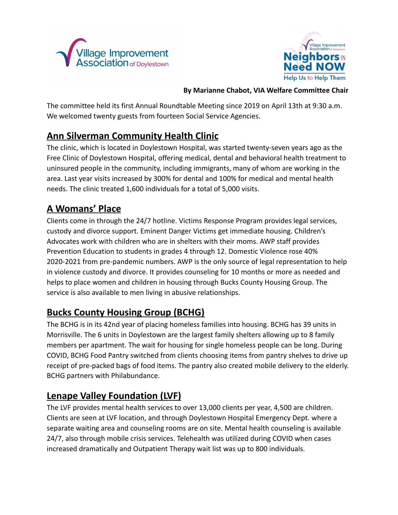



#### **By Marianne Chabot, VIA Welfare Committee Chair**

The committee held its first Annual Roundtable Meeting since 2019 on April 13th at 9:30 a.m. We welcomed twenty guests from fourteen Social Service Agencies.

### **Ann Silverman Community Health Clinic**

The clinic, which is located in Doylestown Hospital, was started twenty-seven years ago as the Free Clinic of Doylestown Hospital, offering medical, dental and behavioral health treatment to uninsured people in the community, including immigrants, many of whom are working in the area. Last year visits increased by 300% for dental and 100% for medical and mental health needs. The clinic treated 1,600 individuals for a total of 5,000 visits.

### **A Womans' Place**

Clients come in through the 24/7 hotline. Victims Response Program provides legal services, custody and divorce support. Eminent Danger Victims get immediate housing. Children's Advocates work with children who are in shelters with their moms. AWP staff provides Prevention Education to students in grades 4 through 12. Domestic Violence rose 40% 2020-2021 from pre-pandemic numbers. AWP is the only source of legal representation to help in violence custody and divorce. It provides counseling for 10 months or more as needed and helps to place women and children in housing through Bucks County Housing Group. The service is also available to men living in abusive relationships.

#### **Bucks County Housing Group (BCHG)**

The BCHG is in its 42nd year of placing homeless families into housing. BCHG has 39 units in Morrisville. The 6 units in Doylestown are the largest family shelters allowing up to 8 family members per apartment. The wait for housing for single homeless people can be long. During COVID, BCHG Food Pantry switched from clients choosing items from pantry shelves to drive up receipt of pre-packed bags of food items. The pantry also created mobile delivery to the elderly. BCHG partners with Philabundance.

#### **Lenape Valley Foundation (LVF)**

The LVF provides mental health services to over 13,000 clients per year, 4,500 are children. Clients are seen at LVF location, and through Doylestown Hospital Emergency Dept. where a separate waiting area and counseling rooms are on site. Mental health counseling is available 24/7, also through mobile crisis services. Telehealth was utilized during COVID when cases increased dramatically and Outpatient Therapy wait list was up to 800 individuals.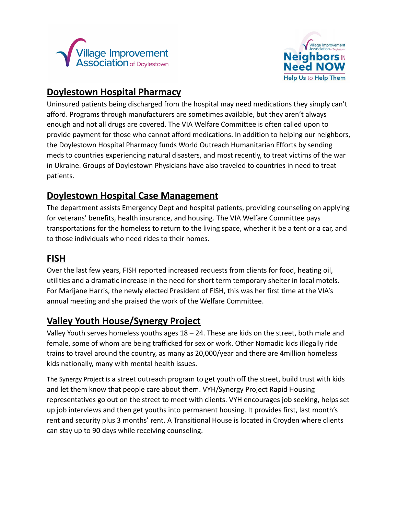



#### **Doylestown Hospital Pharmacy**

Uninsured patients being discharged from the hospital may need medications they simply can't afford. Programs through manufacturers are sometimes available, but they aren't always enough and not all drugs are covered. The VIA Welfare Committee is often called upon to provide payment for those who cannot afford medications. In addition to helping our neighbors, the Doylestown Hospital Pharmacy funds World Outreach Humanitarian Efforts by sending meds to countries experiencing natural disasters, and most recently, to treat victims of the war in Ukraine. Groups of Doylestown Physicians have also traveled to countries in need to treat patients.

### **Doylestown Hospital Case Management**

The department assists Emergency Dept and hospital patients, providing counseling on applying for veterans' benefits, health insurance, and housing. The VIA Welfare Committee pays transportations for the homeless to return to the living space, whether it be a tent or a car, and to those individuals who need rides to their homes.

#### **FISH**

Over the last few years, FISH reported increased requests from clients for food, heating oil, utilities and a dramatic increase in the need for short term temporary shelter in local motels. For Marijane Harris, the newly elected President of FISH, this was her first time at the VIA's annual meeting and she praised the work of the Welfare Committee.

# **Valley Youth House/Synergy Project**

Valley Youth serves homeless youths ages  $18 - 24$ . These are kids on the street, both male and female, some of whom are being trafficked for sex or work. Other Nomadic kids illegally ride trains to travel around the country, as many as 20,000/year and there are 4million homeless kids nationally, many with mental health issues.

The Synergy Project is a street outreach program to get youth off the street, build trust with kids and let them know that people care about them. VYH/Synergy Project Rapid Housing representatives go out on the street to meet with clients. VYH encourages job seeking, helps set up job interviews and then get youths into permanent housing. It provides first, last month's rent and security plus 3 months' rent. A Transitional House is located in Croyden where clients can stay up to 90 days while receiving counseling.